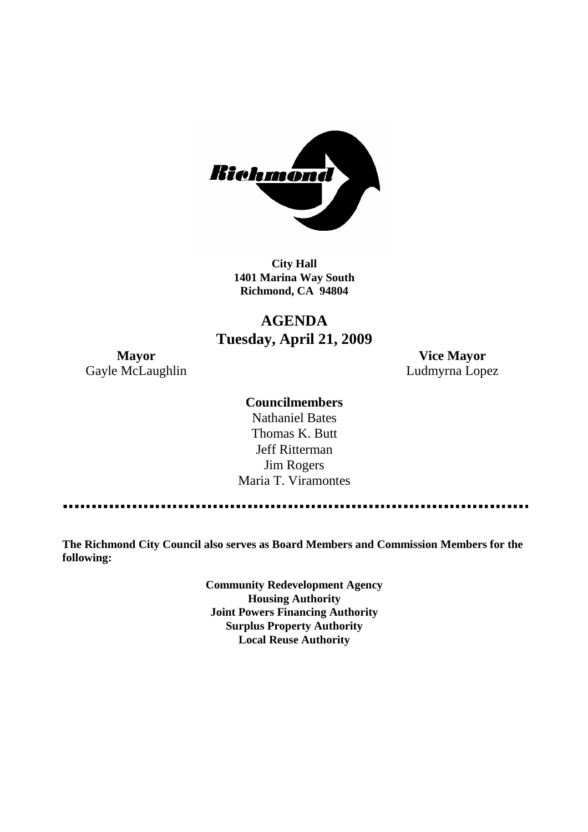

**City Hall 1401 Marina Way South Richmond, CA 94804**

# **AGENDA Tuesday, April 21, 2009**

Gayle McLaughlin **Ludmyrna Lopez** 

**Mayor Vice Mayor**

# **Councilmembers**

Nathaniel Bates Thomas K. Butt Jeff Ritterman Jim Rogers Maria T. Viramontes

**The Richmond City Council also serves as Board Members and Commission Members for the following:**

> **Community Redevelopment Agency Housing Authority Joint Powers Financing Authority Surplus Property Authority Local Reuse Authority**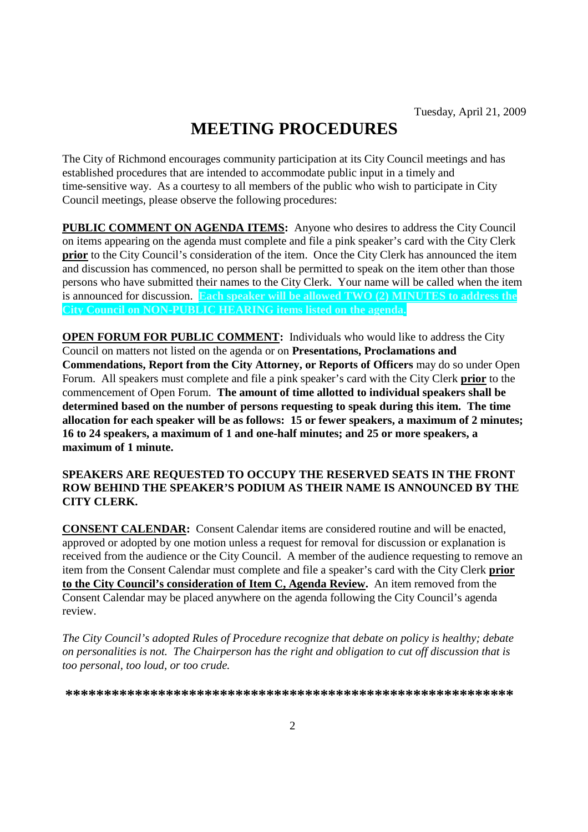# **MEETING PROCEDURES**

The City of Richmond encourages community participation at its City Council meetings and has established procedures that are intended to accommodate public input in a timely and time-sensitive way. As a courtesy to all members of the public who wish to participate in City Council meetings, please observe the following procedures:

**PUBLIC COMMENT ON AGENDA ITEMS:** Anyone who desires to address the City Council on items appearing on the agenda must complete and file a pink speaker's card with the City Clerk **prior** to the City Council's consideration of the item. Once the City Clerk has announced the item and discussion has commenced, no person shall be permitted to speak on the item other than those persons who have submitted their names to the City Clerk. Your name will be called when the item is announced for discussion. **Each speaker will be allowed TWO (2) MINUTES to address the City Council on NON-PUBLIC HEARING items listed on the agenda.**

**OPEN FORUM FOR PUBLIC COMMENT:** Individuals who would like to address the City Council on matters not listed on the agenda or on **Presentations, Proclamations and Commendations, Report from the City Attorney, or Reports of Officers** may do so under Open Forum. All speakers must complete and file a pink speaker's card with the City Clerk **prior** to the commencement of Open Forum. **The amount of time allotted to individual speakers shall be determined based on the number of persons requesting to speak during this item. The time allocation for each speaker will be as follows: 15 or fewer speakers, a maximum of 2 minutes; 16 to 24 speakers, a maximum of 1 and one-half minutes; and 25 or more speakers, a maximum of 1 minute.**

#### **SPEAKERS ARE REQUESTED TO OCCUPY THE RESERVED SEATS IN THE FRONT ROW BEHIND THE SPEAKER'S PODIUM AS THEIR NAME IS ANNOUNCED BY THE CITY CLERK.**

**CONSENT CALENDAR:** Consent Calendar items are considered routine and will be enacted, approved or adopted by one motion unless a request for removal for discussion or explanation is received from the audience or the City Council. A member of the audience requesting to remove an item from the Consent Calendar must complete and file a speaker's card with the City Clerk **prior to the City Council's consideration of Item C, Agenda Review.** An item removed from the Consent Calendar may be placed anywhere on the agenda following the City Council's agenda review.

*The City Council's adopted Rules of Procedure recognize that debate on policy is healthy; debate on personalities is not. The Chairperson has the right and obligation to cut off discussion that is too personal, too loud, or too crude.*

**\*\*\*\*\*\*\*\*\*\*\*\*\*\*\*\*\*\*\*\*\*\*\*\*\*\*\*\*\*\*\*\*\*\*\*\*\*\*\*\*\*\*\*\*\*\*\*\*\*\*\*\*\*\*\*\*\*\***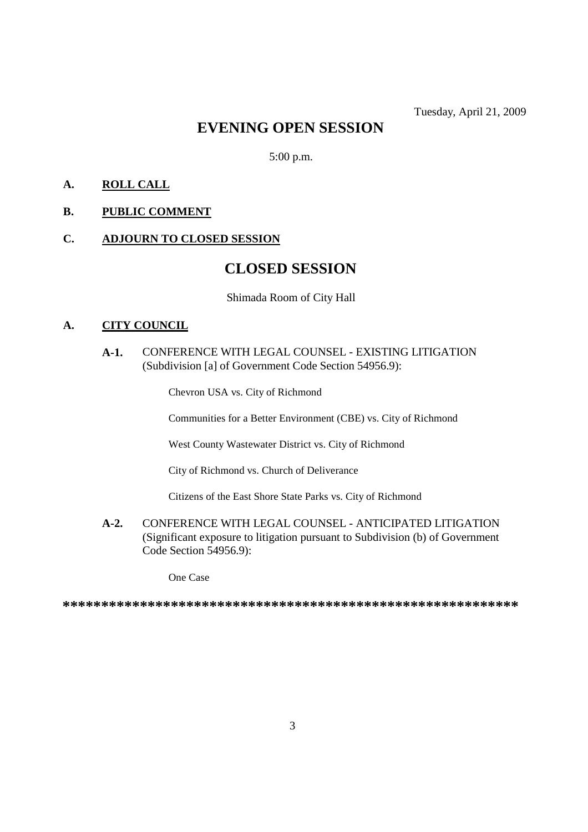# **EVENING OPEN SESSION**

5:00 p.m.

# **A. ROLL CALL**

# **B. PUBLIC COMMENT**

## **C. ADJOURN TO CLOSED SESSION**

# **CLOSED SESSION**

Shimada Room of City Hall

#### **A. CITY COUNCIL**

# **A-1.** CONFERENCE WITH LEGAL COUNSEL - EXISTING LITIGATION (Subdivision [a] of Government Code Section 54956.9):

Chevron USA vs. City of Richmond

Communities for a Better Environment (CBE) vs. City of Richmond

West County Wastewater District vs. City of Richmond

City of Richmond vs. Church of Deliverance

Citizens of the East Shore State Parks vs. City of Richmond

**A-2.** CONFERENCE WITH LEGAL COUNSEL - ANTICIPATED LITIGATION (Significant exposure to litigation pursuant to Subdivision (b) of Government Code Section 54956.9):

One Case

**\*\*\*\*\*\*\*\*\*\*\*\*\*\*\*\*\*\*\*\*\*\*\*\*\*\*\*\*\*\*\*\*\*\*\*\*\*\*\*\*\*\*\*\*\*\*\*\*\*\*\*\*\*\*\*\*\*\*\***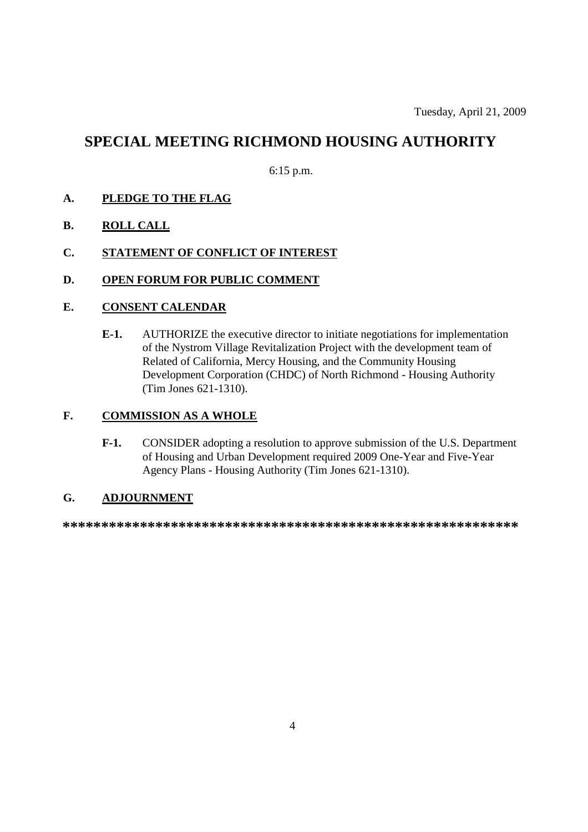# **SPECIAL MEETING RICHMOND HOUSING AUTHORITY**

6:15 p.m.

# **A. PLEDGE TO THE FLAG**

- **B. ROLL CALL**
- **C. STATEMENT OF CONFLICT OF INTEREST**
- **D. OPEN FORUM FOR PUBLIC COMMENT**

#### **E. CONSENT CALENDAR**

**E-1.** AUTHORIZE the executive director to initiate negotiations for implementation of the Nystrom Village Revitalization Project with the development team of Related of California, Mercy Housing, and the Community Housing Development Corporation (CHDC) of North Richmond - Housing Authority (Tim Jones 621-1310).

# **F. COMMISSION AS A WHOLE**

**F-1.** CONSIDER adopting a resolution to approve submission of the U.S. Department of Housing and Urban Development required 2009 One-Year and Five-Year Agency Plans - Housing Authority (Tim Jones 621-1310).

# **G. ADJOURNMENT**

**\*\*\*\*\*\*\*\*\*\*\*\*\*\*\*\*\*\*\*\*\*\*\*\*\*\*\*\*\*\*\*\*\*\*\*\*\*\*\*\*\*\*\*\*\*\*\*\*\*\*\*\*\*\*\*\*\*\*\***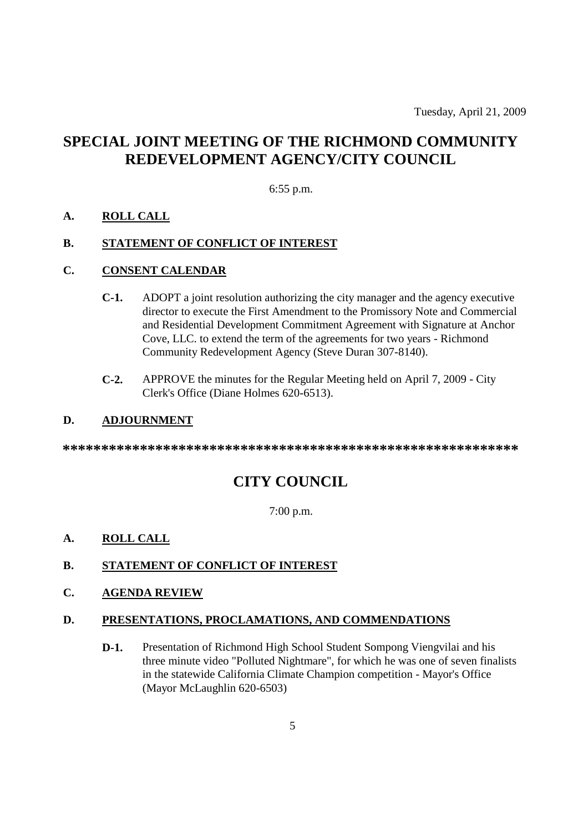Tuesday, April 21, 2009

# **SPECIAL JOINT MEETING OF THE RICHMOND COMMUNITY REDEVELOPMENT AGENCY/CITY COUNCIL**

## 6:55 p.m.

#### **A. ROLL CALL**

## **B. STATEMENT OF CONFLICT OF INTEREST**

#### **C. CONSENT CALENDAR**

- **C-1.** ADOPT a joint resolution authorizing the city manager and the agency executive director to execute the First Amendment to the Promissory Note and Commercial and Residential Development Commitment Agreement with Signature at Anchor Cove, LLC. to extend the term of the agreements for two years - Richmond Community Redevelopment Agency (Steve Duran 307-8140).
- **C-2.** APPROVE the minutes for the Regular Meeting held on April 7, 2009 City Clerk's Office (Diane Holmes 620-6513).

#### **D. ADJOURNMENT**

**\*\*\*\*\*\*\*\*\*\*\*\*\*\*\*\*\*\*\*\*\*\*\*\*\*\*\*\*\*\*\*\*\*\*\*\*\*\*\*\*\*\*\*\*\*\*\*\*\*\*\*\*\*\*\*\*\*\*\***

# **CITY COUNCIL**

7:00 p.m.

#### **A. ROLL CALL**

#### **B. STATEMENT OF CONFLICT OF INTEREST**

# **C. AGENDA REVIEW**

#### **D. PRESENTATIONS, PROCLAMATIONS, AND COMMENDATIONS**

**D-1.** Presentation of Richmond High School Student Sompong Viengvilai and his three minute video "Polluted Nightmare", for which he was one of seven finalists in the statewide California Climate Champion competition - Mayor's Office (Mayor McLaughlin 620-6503)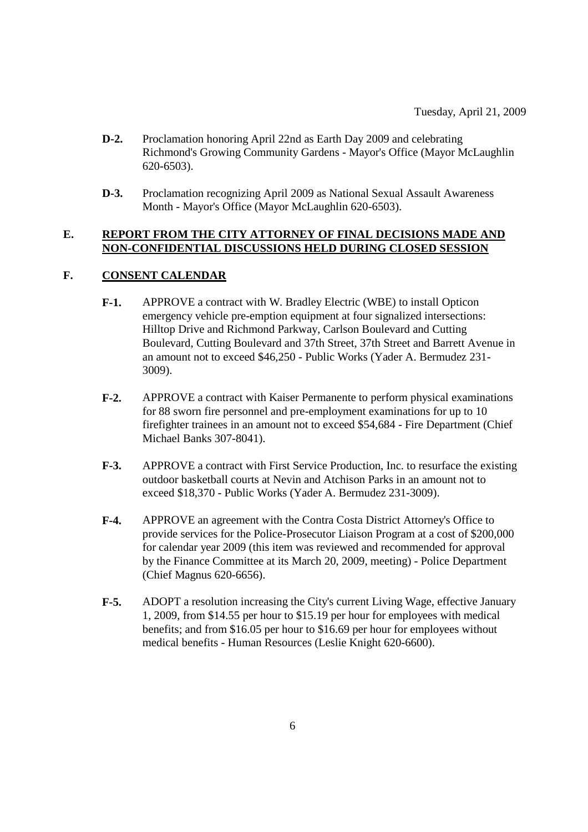- **D-2.** Proclamation honoring April 22nd as Earth Day 2009 and celebrating Richmond's Growing Community Gardens - Mayor's Office (Mayor McLaughlin 620-6503).
- **D-3.** Proclamation recognizing April 2009 as National Sexual Assault Awareness Month - Mayor's Office (Mayor McLaughlin 620-6503).

#### **E. REPORT FROM THE CITY ATTORNEY OF FINAL DECISIONS MADE AND NON-CONFIDENTIAL DISCUSSIONS HELD DURING CLOSED SESSION**

## **F. CONSENT CALENDAR**

- **F-1.** APPROVE a contract with W. Bradley Electric (WBE) to install Opticon emergency vehicle pre-emption equipment at four signalized intersections: Hilltop Drive and Richmond Parkway, Carlson Boulevard and Cutting Boulevard, Cutting Boulevard and 37th Street, 37th Street and Barrett Avenue in an amount not to exceed \$46,250 - Public Works (Yader A. Bermudez 231- 3009).
- **F-2.** APPROVE a contract with Kaiser Permanente to perform physical examinations for 88 sworn fire personnel and pre-employment examinations for up to 10 firefighter trainees in an amount not to exceed \$54,684 - Fire Department (Chief Michael Banks 307-8041).
- **F-3.** APPROVE a contract with First Service Production, Inc. to resurface the existing outdoor basketball courts at Nevin and Atchison Parks in an amount not to exceed \$18,370 - Public Works (Yader A. Bermudez 231-3009).
- **F-4.** APPROVE an agreement with the Contra Costa District Attorney's Office to provide services for the Police-Prosecutor Liaison Program at a cost of \$200,000 for calendar year 2009 (this item was reviewed and recommended for approval by the Finance Committee at its March 20, 2009, meeting) - Police Department (Chief Magnus 620-6656).
- **F-5.** ADOPT a resolution increasing the City's current Living Wage, effective January 1, 2009, from \$14.55 per hour to \$15.19 per hour for employees with medical benefits; and from \$16.05 per hour to \$16.69 per hour for employees without medical benefits - Human Resources (Leslie Knight 620-6600).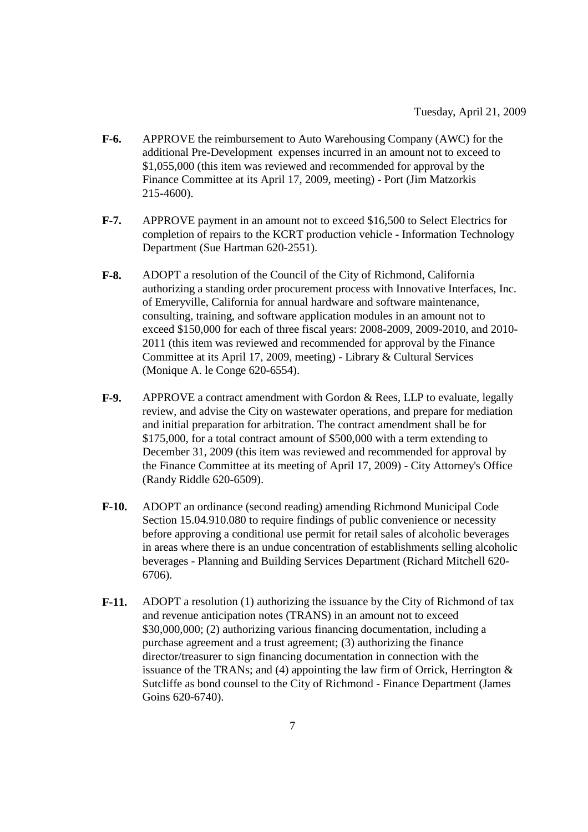- **F-6.** APPROVE the reimbursement to Auto Warehousing Company (AWC) for the additional Pre-Development expenses incurred in an amount not to exceed to \$1,055,000 (this item was reviewed and recommended for approval by the Finance Committee at its April 17, 2009, meeting) - Port (Jim Matzorkis 215-4600).
- **F-7.** APPROVE payment in an amount not to exceed \$16,500 to Select Electrics for completion of repairs to the KCRT production vehicle - Information Technology Department (Sue Hartman 620-2551).
- **F-8.** ADOPT a resolution of the Council of the City of Richmond, California authorizing a standing order procurement process with Innovative Interfaces, Inc. of Emeryville, California for annual hardware and software maintenance, consulting, training, and software application modules in an amount not to exceed \$150,000 for each of three fiscal years: 2008-2009, 2009-2010, and 2010- 2011 (this item was reviewed and recommended for approval by the Finance Committee at its April 17, 2009, meeting) - Library & Cultural Services (Monique A. le Conge 620-6554).
- **F-9.** APPROVE a contract amendment with Gordon & Rees, LLP to evaluate, legally review, and advise the City on wastewater operations, and prepare for mediation and initial preparation for arbitration. The contract amendment shall be for \$175,000, for a total contract amount of \$500,000 with a term extending to December 31, 2009 (this item was reviewed and recommended for approval by the Finance Committee at its meeting of April 17, 2009) - City Attorney's Office (Randy Riddle 620-6509).
- **F-10.** ADOPT an ordinance (second reading) amending Richmond Municipal Code Section 15.04.910.080 to require findings of public convenience or necessity before approving a conditional use permit for retail sales of alcoholic beverages in areas where there is an undue concentration of establishments selling alcoholic beverages - Planning and Building Services Department (Richard Mitchell 620- 6706).
- **F-11.** ADOPT a resolution (1) authorizing the issuance by the City of Richmond of tax and revenue anticipation notes (TRANS) in an amount not to exceed \$30,000,000; (2) authorizing various financing documentation, including a purchase agreement and a trust agreement; (3) authorizing the finance director/treasurer to sign financing documentation in connection with the issuance of the TRANs; and (4) appointing the law firm of Orrick, Herrington  $\&$ Sutcliffe as bond counsel to the City of Richmond - Finance Department (James Goins 620-6740).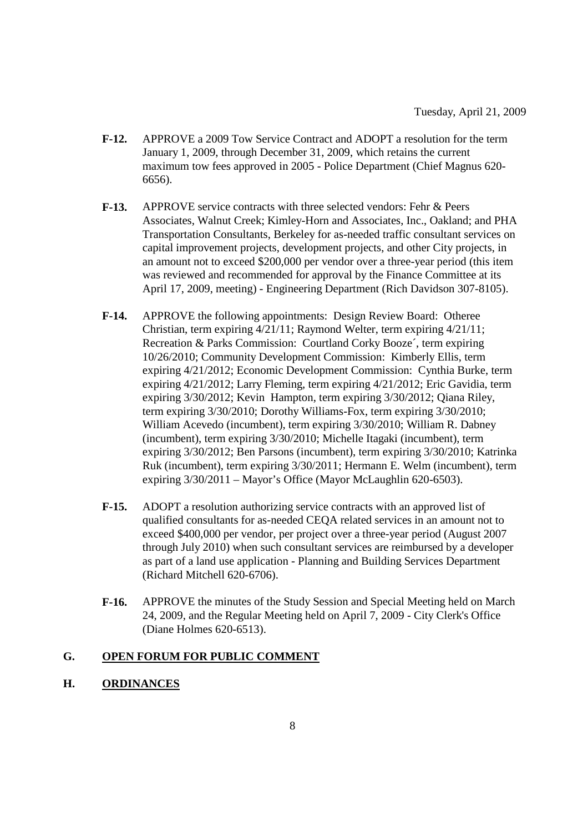- **F-12.** APPROVE a 2009 Tow Service Contract and ADOPT a resolution for the term January 1, 2009, through December 31, 2009, which retains the current maximum tow fees approved in 2005 - Police Department (Chief Magnus 620- 6656).
- **F-13.** APPROVE service contracts with three selected vendors: Fehr & Peers Associates, Walnut Creek; Kimley-Horn and Associates, Inc., Oakland; and PHA Transportation Consultants, Berkeley for as-needed traffic consultant services on capital improvement projects, development projects, and other City projects, in an amount not to exceed \$200,000 per vendor over a three-year period (this item was reviewed and recommended for approval by the Finance Committee at its April 17, 2009, meeting) - Engineering Department (Rich Davidson 307-8105).
- **F-14.** APPROVE the following appointments: Design Review Board: Otheree Christian, term expiring 4/21/11; Raymond Welter, term expiring 4/21/11; Recreation & Parks Commission: Courtland Corky Booze´, term expiring 10/26/2010; Community Development Commission: Kimberly Ellis, term expiring 4/21/2012; Economic Development Commission: Cynthia Burke, term expiring 4/21/2012; Larry Fleming, term expiring 4/21/2012; Eric Gavidia, term expiring 3/30/2012; Kevin Hampton, term expiring 3/30/2012; Qiana Riley, term expiring 3/30/2010; Dorothy Williams-Fox, term expiring 3/30/2010; William Acevedo (incumbent), term expiring 3/30/2010; William R. Dabney (incumbent), term expiring 3/30/2010; Michelle Itagaki (incumbent), term expiring 3/30/2012; Ben Parsons (incumbent), term expiring 3/30/2010; Katrinka Ruk (incumbent), term expiring 3/30/2011; Hermann E. Welm (incumbent), term expiring 3/30/2011 – Mayor's Office (Mayor McLaughlin 620-6503).
- **F-15.** ADOPT a resolution authorizing service contracts with an approved list of qualified consultants for as-needed CEQA related services in an amount not to exceed \$400,000 per vendor, per project over a three-year period (August 2007 through July 2010) when such consultant services are reimbursed by a developer as part of a land use application - Planning and Building Services Department (Richard Mitchell 620-6706).
- **F-16.** APPROVE the minutes of the Study Session and Special Meeting held on March 24, 2009, and the Regular Meeting held on April 7, 2009 - City Clerk's Office (Diane Holmes 620-6513).

### **G. OPEN FORUM FOR PUBLIC COMMENT**

#### **H. ORDINANCES**